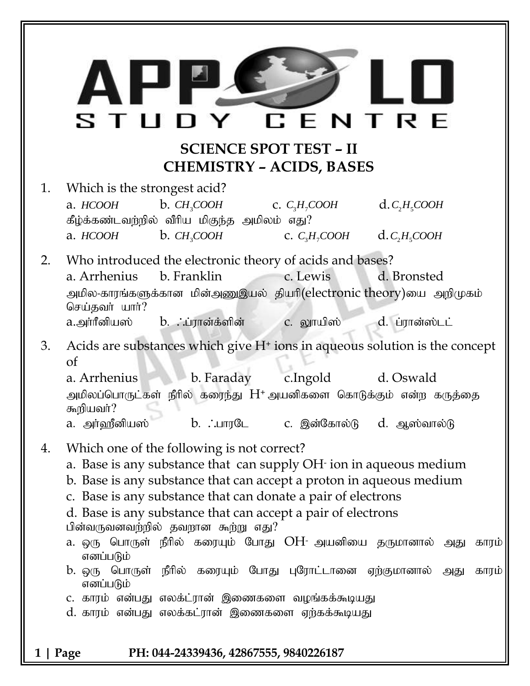## **SCIENCE SPOT TEST – II CHEMISTRY – ACIDS, BASES**

1. Which is the strongest acid? a. *HCOOH*  $b.$  *CH<sub>2</sub>COOH* c. *C<sub>3</sub>H<sub>7</sub>COOH*  $d.C,H<sub>s</sub>COOH$  $\mathring{\bf g}$ ழ்க்கண்டவற்றில் வீரிய மிகுந்த அமிலம் எது $?$ a. *HCOOH*  $b. CH<sub>3</sub>COOH$ c.  $C_3H_7COOH$  $d.C<sub>2</sub>H<sub>5</sub>COOH$ 

2. Who introduced the electronic theory of acids and bases? a. Arrhenius b. Franklin c. Lewis d. Bronsted அமில-காரங்களுக்கான மின்அணுஇயல் தியாி(electronic theory)யை அறிமுகம் செய்தவர் யார்? a.அா்ரீனியஸ் b. ∴ப்ரான்க்ளின் c. லூயிஸ் d. ப்ரான்ஸ்டட்

3. Acids are substances which give  $H<sup>+</sup>$  ions in aqueous solution is the concept of

a. Arrhenius b. Faraday c.Ingold d. Oswald அமிலப்பொருட்கள் நீரில் கரைந்து  $H^*$  அயனிகளை கொடுக்கும் என்ற கருத்தை கூறியவர்? a. அர்ஹீனியஸ் b. :பாரடே c. இன்கோல்டு d. ஆஸ்வால்டு

- 4. Which one of the following is not correct?
	- a. Base is any substance that can supply OH-ion in aqueous medium
	- b. Base is any substance that can accept a proton in aqueous medium
	- c. Base is any substance that can donate a pair of electrons
	- d. Base is any substance that can accept a pair of electrons

பின்வருவனவற்றில் தவறான கூற்று எது?

- a. ஒரு பொருள் நீரில் கரையும் போது OH- அயனியை தருமானால் அது காரம் எனப்படும்
- b. ஒரு பொருள் நீரில் கரையும் போது புரோட்டானை ஏற்குமானால் அது காரம் எனப்படும்
- c. காரம் என்பது எலக்ட்ரான் இணைகளை வழங்கக்கூடியது
- d. காரம் என்பது எலக்கட்ரான் இணைகளை ஏற்கக்கூடியது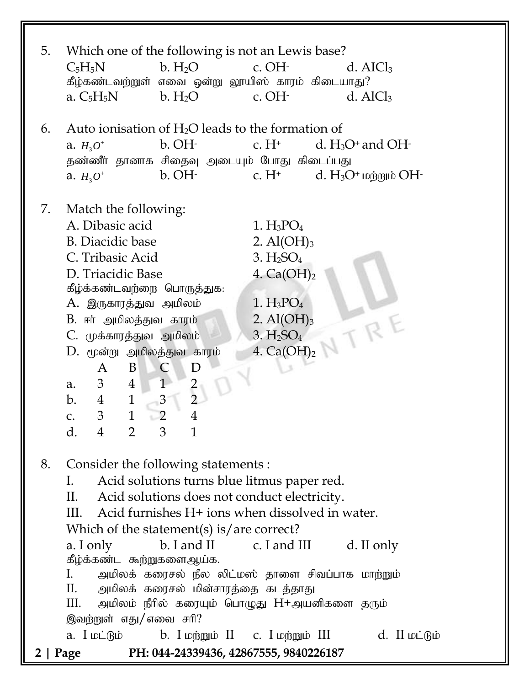| 5. | Which one of the following is not an Lewis base?<br>$C_5H_5N$<br>b. H <sub>2</sub> O<br>$c.$ OH $\cdot$<br>d. AICl <sub>3</sub><br>கீழ்கண்டவற்றுள் எவை ஒன்று லூயிஸ் காரம் கிடையாது?<br>b. H <sub>2</sub> O<br>c. OH-<br>a. $C_5H_5N$<br>$d.$ AlCl <sub>3</sub>                                                                                                                                                                                                                                                                                                                                                                                                                   |
|----|----------------------------------------------------------------------------------------------------------------------------------------------------------------------------------------------------------------------------------------------------------------------------------------------------------------------------------------------------------------------------------------------------------------------------------------------------------------------------------------------------------------------------------------------------------------------------------------------------------------------------------------------------------------------------------|
| 6. | Auto ionisation of $H_2O$ leads to the formation of<br>d. $H_3O^+$ and OH $\cdot$<br>$b. OH-$<br>c. $H^+$<br>a. $H_3O^+$<br>தண்ணீர் தானாக சிதைவு அடையும் போது கிடைப்பது<br>$c. H+$<br>b. OH-<br>d. $H_3O^+$ மற்றும் $OH^-$<br>a. $H_3O^+$                                                                                                                                                                                                                                                                                                                                                                                                                                        |
| 7. | Match the following:<br>A. Dibasic acid<br>$1. H_3PO_4$<br><b>B.</b> Diacidic base<br>2. $Al(OH)_3$<br>3. H <sub>2</sub> SO <sub>4</sub><br>C. Tribasic Acid<br>D. Triacidic Base<br>4. $Ca(OH)2$<br>கீழ்க்கண்டவற்றை பொருத்துக:<br>$1. H_3PO_4$<br>A. இருகாரத்துவ அமிலம்<br>TRE<br>2. Al $(OH)_3$<br>B. ஈர் அமிலத்துவ காரம்<br>3. H <sub>2</sub> SO <sub>4</sub><br>C. முக்காரத்துவ அமிலம்<br>4. $Ca(OH)2$<br>D. மூன்று அமிலத்துவ காரம்<br>B<br>C<br>A<br>D<br>$\mathbf{1}$<br>3 <sup>7</sup><br>$\overline{4}$<br>$\frac{2}{2}$<br>a.<br>$\mathbf{1}$<br>3<br>$\mathbf{b}$ .<br>4<br>3<br>$\mathbf 1$<br>$\overline{2}$<br>C.<br>$\overline{2}$<br>d.<br>3<br>$\mathbf{1}$<br>4 |
| 8. | Consider the following statements :<br>Acid solutions turns blue litmus paper red.<br>$\mathbf{I}$ .<br>II. Acid solutions does not conduct electricity.<br>III. Acid furnishes H+ ions when dissolved in water.<br>Which of the statement(s) is/are correct?<br>b. I and II c. I and III d. II only<br>a. I only<br>கீழ்க்கண்ட கூற்றுகளைஆய்க.<br>I.<br>அமிலக் கரைசல் நீல லிட்மஸ் தாளை சிவப்பாக மாற்றும்<br>அமிலக் கரைசல் மின்சாரத்தை கடத்தாது<br>II.<br>அமிலம் நீரில் கரையும் பொழுது H+அயனிகளை தரும்<br>Ш.<br>இவற்றுள் எது/எவை சரி?                                                                                                                                             |
|    | a. I மட்டும்           b. I மற்றும் II      c. I மற்றும் III<br>$d.$ II $\omega$ $\dot{\theta}$<br>PH: 044-24339436, 42867555, 9840226187<br>2   Page                                                                                                                                                                                                                                                                                                                                                                                                                                                                                                                            |
|    |                                                                                                                                                                                                                                                                                                                                                                                                                                                                                                                                                                                                                                                                                  |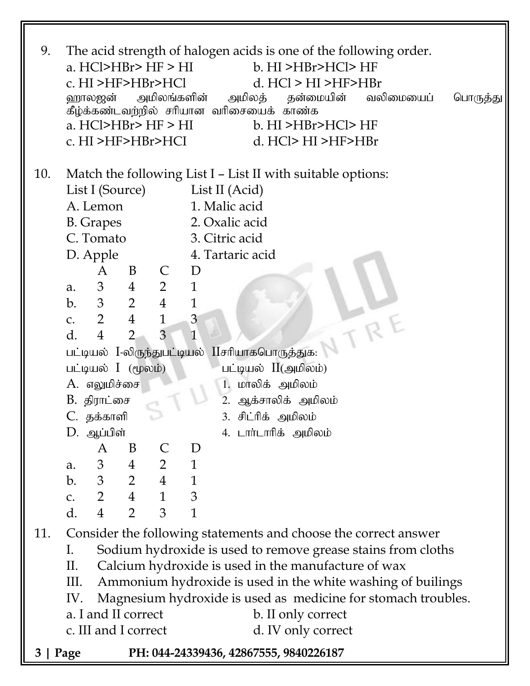| 9.  | The acid strength of halogen acids is one of the following order.<br>a. $HCI > HBr > HF > HI$<br>b. HI >HBr>HCl>HF<br>c. HI >HF>HBr>HCl<br>d. $HCl > HI > HF > HBr$<br>அமிலங்களின்<br>ஹாலஜன்<br>அமிலத்<br>தன்மையின்<br>வலிமையைப்<br>பொருத்து<br>கீழ்க்கண்டவற்றில் சரியான வரிசையைக் காண்க<br>a. $HCI > HBr > HF > HI$<br>b. HI >HBr>HCl>HF<br>c. HI >HF>HBr>HCI<br>$d.$ HCl> HI >HF>HBr |                                  |                                  |                                                                    |                              |                                                                 |  |
|-----|----------------------------------------------------------------------------------------------------------------------------------------------------------------------------------------------------------------------------------------------------------------------------------------------------------------------------------------------------------------------------------------|----------------------------------|----------------------------------|--------------------------------------------------------------------|------------------------------|-----------------------------------------------------------------|--|
| 10. | Match the following List I - List II with suitable options:                                                                                                                                                                                                                                                                                                                            |                                  |                                  |                                                                    |                              |                                                                 |  |
|     |                                                                                                                                                                                                                                                                                                                                                                                        | List I (Source)                  |                                  |                                                                    |                              | List II (Acid)                                                  |  |
|     |                                                                                                                                                                                                                                                                                                                                                                                        | A. Lemon                         |                                  |                                                                    |                              | 1. Malic acid                                                   |  |
|     |                                                                                                                                                                                                                                                                                                                                                                                        | <b>B.</b> Grapes                 |                                  |                                                                    |                              | 2. Oxalic acid                                                  |  |
|     |                                                                                                                                                                                                                                                                                                                                                                                        | C. Tomato                        |                                  |                                                                    |                              | 3. Citric acid                                                  |  |
|     |                                                                                                                                                                                                                                                                                                                                                                                        | D. Apple                         |                                  |                                                                    |                              | 4. Tartaric acid                                                |  |
|     |                                                                                                                                                                                                                                                                                                                                                                                        | A                                | B                                | $\mathsf{C}$                                                       | D                            |                                                                 |  |
|     | a.<br>b.                                                                                                                                                                                                                                                                                                                                                                               | 3 <sup>7</sup><br>3 <sup>7</sup> | $\overline{4}$<br>$\overline{2}$ | $\overline{2}$<br>$\overline{4}$                                   | $\mathbf{1}$<br>$\mathbf{1}$ |                                                                 |  |
|     | $C_{\bullet}$                                                                                                                                                                                                                                                                                                                                                                          | $2\overline{ }$                  | $\overline{4}$                   | $\mathbf{1}$                                                       | 3                            |                                                                 |  |
|     | d.                                                                                                                                                                                                                                                                                                                                                                                     | $\overline{4}$                   | $\overline{2}$                   | 3                                                                  | $\mathbf{1}$                 |                                                                 |  |
|     |                                                                                                                                                                                                                                                                                                                                                                                        |                                  |                                  |                                                                    |                              | VTRF<br>பட்டியல் I-லிருந்துபட்டியல் IIசரியாகபொருத்துக:          |  |
|     |                                                                                                                                                                                                                                                                                                                                                                                        | பட்டியல் I (மூலம்)               |                                  |                                                                    |                              | பட்டியல் II(அமிலம்)                                             |  |
|     |                                                                                                                                                                                                                                                                                                                                                                                        | A. எலுமிச்சை                     |                                  |                                                                    |                              | 1. மாலிக் அமிலம்                                                |  |
|     |                                                                                                                                                                                                                                                                                                                                                                                        | B. திராட்சை                      |                                  |                                                                    |                              | ஆக்சாலிக் அமிலம்<br>2.                                          |  |
|     | C. தக்காளி<br>3. சிட்ரிக் அமிலம்                                                                                                                                                                                                                                                                                                                                                       |                                  |                                  |                                                                    |                              |                                                                 |  |
|     |                                                                                                                                                                                                                                                                                                                                                                                        | D. ஆப்பிள்                       |                                  |                                                                    |                              | 4. டாா்டாாிக் அமிலம்                                            |  |
|     |                                                                                                                                                                                                                                                                                                                                                                                        | A                                | B                                | $\mathsf{C}$                                                       | D                            |                                                                 |  |
|     | a.<br>b.                                                                                                                                                                                                                                                                                                                                                                               |                                  |                                  | $\begin{array}{ccccccccc} 3 & & 4 & & 2 & & 1 \end{array}$         |                              |                                                                 |  |
|     | $\mathsf{C}$ .                                                                                                                                                                                                                                                                                                                                                                         |                                  |                                  | $\begin{array}{cccccc} 3 & 2 & 4 & 1 \\ 2 & 4 & 1 & 3 \end{array}$ |                              |                                                                 |  |
|     | d.                                                                                                                                                                                                                                                                                                                                                                                     | $\overline{4}$                   | $\overline{2}$                   | $\mathfrak{Z}$                                                     | $\mathbf{1}$                 |                                                                 |  |
| 11. |                                                                                                                                                                                                                                                                                                                                                                                        |                                  |                                  |                                                                    |                              | Consider the following statements and choose the correct answer |  |
|     | I.                                                                                                                                                                                                                                                                                                                                                                                     |                                  |                                  |                                                                    |                              | Sodium hydroxide is used to remove grease stains from cloths    |  |
|     | П.                                                                                                                                                                                                                                                                                                                                                                                     |                                  |                                  |                                                                    |                              | Calcium hydroxide is used in the manufacture of wax             |  |
|     | III.                                                                                                                                                                                                                                                                                                                                                                                   |                                  |                                  |                                                                    |                              | Ammonium hydroxide is used in the white washing of builings     |  |
|     | Magnesium hydroxide is used as medicine for stomach troubles.<br>IV.<br>a. I and II correct<br>b. II only correct<br>c. III and I correct<br>d. IV only correct                                                                                                                                                                                                                        |                                  |                                  |                                                                    |                              |                                                                 |  |
|     |                                                                                                                                                                                                                                                                                                                                                                                        |                                  |                                  |                                                                    |                              |                                                                 |  |
|     | PH: 044-24339436, 42867555, 9840226187                                                                                                                                                                                                                                                                                                                                                 |                                  |                                  |                                                                    |                              |                                                                 |  |
| 3 I | Page                                                                                                                                                                                                                                                                                                                                                                                   |                                  |                                  |                                                                    |                              |                                                                 |  |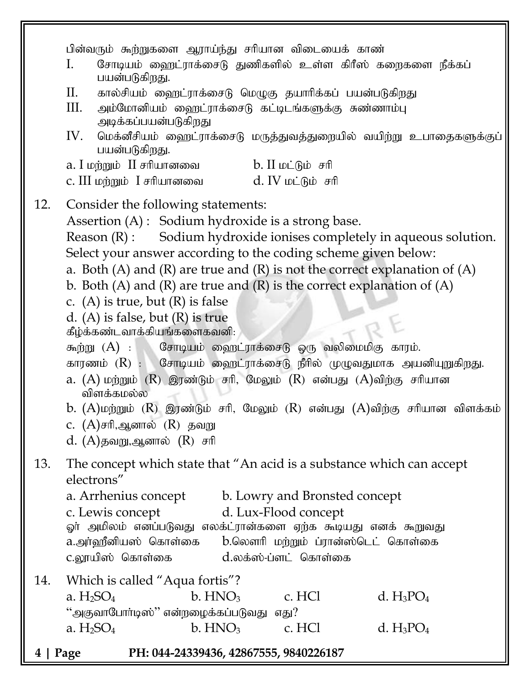**4 | Page PH: 044-24339436, 42867555, 9840226187** பின்வரும் கூற்றுகளை ஆராய்ந்து சரியான விடையைக் காண் I. போடியம் ஹைட்ராக்சைடு துணிகளில் உள்ள கிரீஸ் கறைகளை நீக்கப் பயன்படுகிறது.  $II.$  கால்சியம் ஹைட்ராக்சைடு மெழுகு தயாரிக்கப் பயன்படுகிறது  $III.$  அம்மோனியம் ஹைட்ராக்சைடு கட்டிடங்களுக்கு சுண்ணாம்பு அடிக்கப்பயன்படுகிறது  $IV.$  மெக்னீசியம் ஹைட்ராக்சைடு மருத்துவத்துறையில் வயிற்று உபாதைகளுக்குப் பயன்படுகிறது.  $a.$  I மற்றும்  $II$  சரியானவை  $b.$  II மட்டும் சரி c. III மற்றும்  $I$  சரியானவை  $\mathbf{d}$ . IV மட்டும் சரி 12. Consider the following statements: Assertion (A) : Sodium hydroxide is a strong base. Reason (R) : Sodium hydroxide ionises completely in aqueous solution. Select your answer according to the coding scheme given below: a. Both  $(A)$  and  $(R)$  are true and  $(R)$  is not the correct explanation of  $(A)$ b. Both  $(A)$  and  $(R)$  are true and  $(R)$  is the correct explanation of  $(A)$ c. (A) is true, but  $(R)$  is false d. (A) is false, but (R) is true கீழ்க்கண்டவாக்கியங்களைகவனி: கூற்று  $(A)$  :  $\mathbb{G}$ சாடியம் ஹைட்ராக்சைடு ஒரு வலிமைமிகு காரம். காரணம்  $(R)$  :  $G$ சாடியம் ஹைட்ராக்சைடு நீரில் முழுவதுமாக அயனியுறுகிறது. a.  $(A)$  மற்றும்  $(R)$  இரண்டும் சரி, மேலும்  $(R)$  என்பது  $(A)$ விற்கு சரியான விளக்கமல்ல b.  $(A)$ மற்றும்  $(R)$  இரண்டும் சரி, மேலும்  $(R)$  என்பது  $(A)$ விற்கு சரியான விளக்கம் c.  $(A)$ சரி,ஆனால்  $(R)$  தவறு  $d.$   $(A)$ தவறு,ஆனால்  $(R)$  சரி 13. The concept which state that "An acid is a substance which can accept electrons" a. Arrhenius concept b. Lowry and Bronsted concept c. Lewis concept d. Lux-Flood concept ஓா் அமிலம் எனப்படுவது எலக்ட்ரான்களை ஏற்க கூடியது எனக் கூறுவது a.அர்ஹீனியஸ் கொள்கை b.லௌரி மற்றும் ப்ரான்ஸ்டெட் கொள்கை  $c$ .லாயிஸ் கொள்கை  $d$ .லக்ஸ்-ப்ளட் கொள்கை 14. Which is called "Aqua fortis"? a.  $H_2SO_4$  b.  $HNO_3$  c. HCl d.  $H_3PO_4$ "அகுவாபோர்டிஸ்" என்றழைக்கப்படுவது எது? a.  $H_2SO_4$  b.  $HNO_3$  c. HCl d.  $H_3PO_4$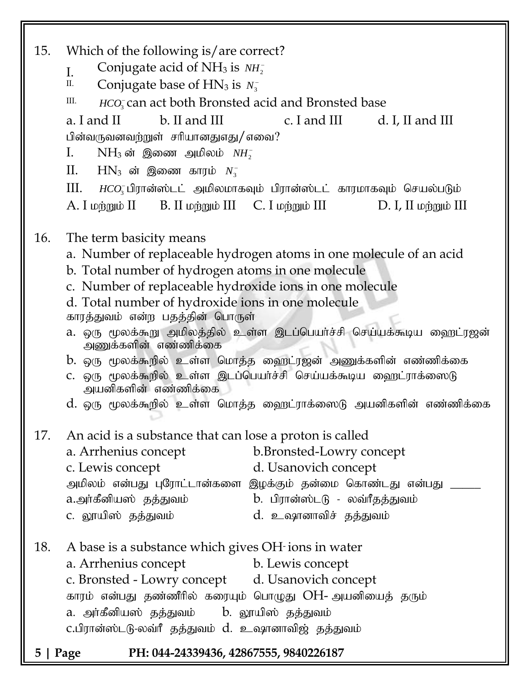| 15. | Which of the following is/are correct?<br>Conjugate acid of NH <sub>3</sub> is $NH_2^-$<br>I.<br>Π.<br>Conjugate base of $HN_3$ is $N_3^-$<br>III.<br><i>HCO</i> <sub>3</sub> can act both Bronsted acid and Bronsted base<br>a. I and II<br>b. II and III c. I and III d. I, II and III<br>பின்வருவனவற்றுள் சரியானதுஎது/ எவை?<br>$I_{\cdot}$<br>$NH_3$ ன் இணை அமிலம் $NH_2^-$<br>П.<br>$HN_3$ ன் இணை காரம் $N_3^-$<br>III.<br>$HCO3$ பிரான்ஸ்டட் அமிலமாகவும் பிரான்ஸ்டட் காரமாகவும் செயல்படும் |  |  |  |  |  |
|-----|-------------------------------------------------------------------------------------------------------------------------------------------------------------------------------------------------------------------------------------------------------------------------------------------------------------------------------------------------------------------------------------------------------------------------------------------------------------------------------------------------|--|--|--|--|--|
| 16. | A. I மற்றும் II        B. II மற்றும் III     C. I மற்றும் III<br>D. I, II மற்றும் III<br>The term basicity means<br>a. Number of replaceable hydrogen atoms in one molecule of an acid<br>b. Total number of hydrogen atoms in one molecule<br>c. Number of replaceable hydroxide ions in one molecule                                                                                                                                                                                          |  |  |  |  |  |
|     | d. Total number of hydroxide ions in one molecule<br>காரத்துவம் என்ற பதத்தின் பொருள்<br>a. ஒரு மூலக்கூறு அமிலத்தில் உள்ள இடப்பெயர்ச்சி செய்யக்கூடிய ஹைட்ரஜன்<br>அணுக்களின் எண்ணிக்கை<br>b. ஒரு மூலக்கூறில் உள்ள மொத்த ஹைட்ரஜன் அணுக்களின் எண்ணிக்கை<br>C. ஒரு மூலக்கூறில் உள்ள இடப்பெயர்ச்சி செய்யக்கூடிய ஹைட்ராக்ஸைடு                                                                                                                                                                          |  |  |  |  |  |
|     | அயனிகளின் எண்ணிக்கை<br>d. ஒரு மூலக்கூறில் உள்ள மொத்த ஹைட்ராக்ஸைடு அயனிகளின் எண்ணிக்கை                                                                                                                                                                                                                                                                                                                                                                                                           |  |  |  |  |  |
| 17. | An acid is a substance that can lose a proton is called<br>b.Bronsted-Lowry concept<br>a. Arrhenius concept<br>d. Usanovich concept<br>c. Lewis concept<br>அமிலம் என்பது புரோட்டான்களை இழக்கும் தன்மை கொண்டது என்பது _<br>a.அர்கீனியஸ் தத்துவம்<br>b. பிரான்ஸ்டடு - லவ்ரீதத்துவம்<br>c. லூயிஸ் தத்துவம்<br>d. உஷானாவிச் தத்துவம்                                                                                                                                                                |  |  |  |  |  |
| 18. | A base is a substance which gives OH ions in water<br>a. Arrhenius concept<br>b. Lewis concept<br>c. Bronsted - Lowry concept d. Usanovich concept<br>காரம் என்பது தண்ணீரில் கரையும் பொழுது OH- அயனியைத் தரும்<br>a. அா்கீனியஸ் தத்துவம்   b. லூயிஸ் தத்துவம்<br>c.பிரான்ஸ்டடு-லவ்ரீ தத்துவம் d. உஷானாவிஜ் தத்துவம்                                                                                                                                                                             |  |  |  |  |  |
| 5.  | PH: 044-24339436, 42867555, 9840226187<br>  Page                                                                                                                                                                                                                                                                                                                                                                                                                                                |  |  |  |  |  |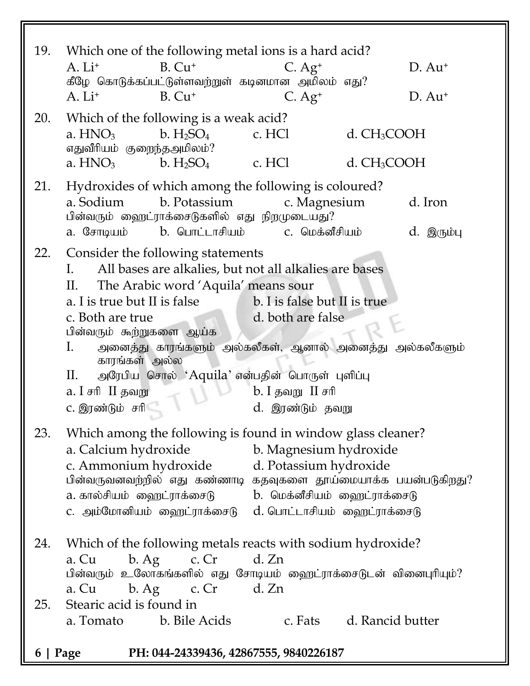| 19.                                                | Which one of the following metal ions is a hard acid?<br>$B. Cu+$<br>$A. Li+$<br>கீழே கொடுக்கப்பட்டுள்ளவற்றுள் கடினமான அமிலம் எது?<br>$B. Cu+$<br>$A. Li+$                                                                                                                                                                                                                                                                                                                                                              | $C. Ag+$<br>$C. Ag+$   |                                                    | $D. Au+$<br>$D. Au+$  |  |  |
|----------------------------------------------------|-------------------------------------------------------------------------------------------------------------------------------------------------------------------------------------------------------------------------------------------------------------------------------------------------------------------------------------------------------------------------------------------------------------------------------------------------------------------------------------------------------------------------|------------------------|----------------------------------------------------|-----------------------|--|--|
| 20.                                                | Which of the following is a weak acid?<br>a. HNO <sub>3</sub><br>b. H <sub>2</sub> SO <sub>4</sub><br>எதுவீரியம் குறைந்தஅமிலம்?<br>a. $HNO3$<br>b. $H_2SO_4$ c. HCl                                                                                                                                                                                                                                                                                                                                                     | c. HCl                 | d. CH <sub>3</sub> COOH<br>d. CH <sub>3</sub> COOH |                       |  |  |
| 21.                                                | Hydroxides of which among the following is coloured?<br>b. Potassium<br>a. Sodium<br>பின்வரும் ஹைட்ராக்சைடுகளில் எது நிறமுடையது?<br>a. சோடியம்          b. பொட்டாசியம்               c. மெக்னீசியம்                                                                                                                                                                                                                                                                                                                     | c. Magnesium           |                                                    | d. Iron<br>d. இரும்பு |  |  |
| 22.                                                | Consider the following statements<br>All bases are alkalies, but not all alkalies are bases<br>$\mathbf{L}$<br>The Arabic word 'Aquila' means sour<br>П.<br>a. I is true but II is false<br>b. I is false but II is true<br>d. both are false<br>c. Both are true<br>பின்வரும் கூற்றுகளை ஆய்க<br>Ι.<br>அனைத்து காரங்களும் அல்கலீகள், ஆனால் அனைத்து அல்கலீகளும்<br>காரங்கள் அல்ல<br>அரேபிய சொல் 'Aquila' என்பதின் பொருள் புளிப்பு<br>П.<br>a. I சரி II தவறு<br>$b.$ I தவறு II சரி<br>c. இரண்டும் சரி<br>d. இரண்டும் தவறு |                        |                                                    |                       |  |  |
| 23.                                                | Which among the following is found in window glass cleaner?<br>a. Calcium hydroxide<br>c. Ammonium hydroxide d. Potassium hydroxide<br>பின்வருவனவற்றில் எது கண்ணாடி கதவுகளை தூய்மையாக்க பயன்படுகிறது?<br>a. கால்சியம்  ஹைட்ராக்சைடு            b.  மெக்னீசியம்  ஹைட்ராக்சைடு<br>c. அம்மோனியம் ஹைட்ராக்சைடு  d.பொட்டாசியம் ஹைட்ராக்சைடு                                                                                                                                                                                  | b. Magnesium hydroxide |                                                    |                       |  |  |
| 24.                                                | Which of the following metals reacts with sodium hydroxide?<br>c. $Cr$ d. $Zn$<br>b. Ag<br>a. Cu<br>பின்வரும் உலோகங்களில் எது சோடியம் ஹைட்ராக்சைடுடன் வினைபுரியும்?                                                                                                                                                                                                                                                                                                                                                     |                        |                                                    |                       |  |  |
| 25.                                                | a. Cu b. Ag c. Cr d. Zn<br>Stearic acid is found in<br>a. Tomato b. Bile Acids                                                                                                                                                                                                                                                                                                                                                                                                                                          |                        | c. Fats d. Rancid butter                           |                       |  |  |
| PH: 044-24339436, 42867555, 9840226187<br>6   Page |                                                                                                                                                                                                                                                                                                                                                                                                                                                                                                                         |                        |                                                    |                       |  |  |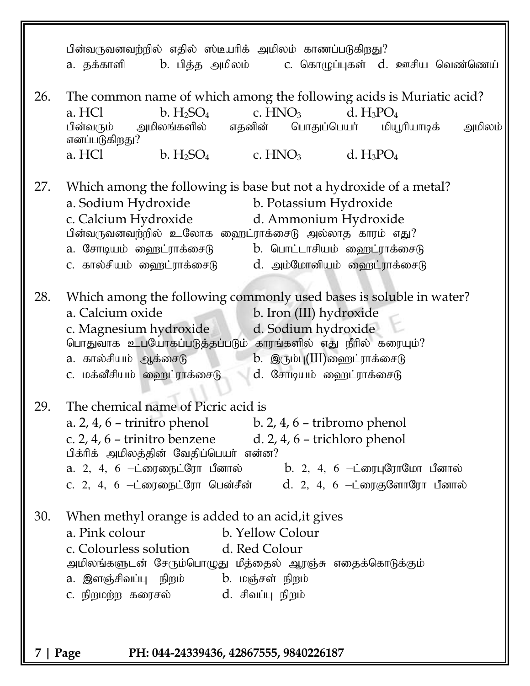|                                                    | பின்வருவனவற்றில் எதில் ஸ்டீயரிக் அமிலம் காணப்படுகிறது?<br>a. தக்காளி      b. பித்த அமிலம்       c. கொழுப்புகள்  d. ஊசிய வெண்ணெய்                                                                                                                                                                                                                              |  |  |  |  |  |
|----------------------------------------------------|---------------------------------------------------------------------------------------------------------------------------------------------------------------------------------------------------------------------------------------------------------------------------------------------------------------------------------------------------------------|--|--|--|--|--|
| 26.                                                | The common name of which among the following acids is Muriatic acid?<br>b. $H_2SO_4$ c. $HNO_3$ d. $H_3PO_4$<br>a. HCl<br>பின்வரும் அமிலங்களில் எதனின் பொதுப்பெயர் மியூரியாடிக்<br>அமிலம்<br>எனப்படுகிறது?                                                                                                                                                    |  |  |  |  |  |
|                                                    | a. HCl $b. H_2SO_4$ c. HNO <sub>3</sub> d. H <sub>3</sub> PO <sub>4</sub>                                                                                                                                                                                                                                                                                     |  |  |  |  |  |
| 27.                                                | Which among the following is base but not a hydroxide of a metal?<br>a. Sodium Hydroxide b. Potassium Hydroxide<br>c. Calcium Hydroxide d. Ammonium Hydroxide<br>பின்வருவனவற்றில் உலோக ஹைட்ராக்சைடு அல்லாத காரம் எது?<br>a. சோடியம் ஹைட்ராக்சைடு      b. பொட்டாசியம் ஹைட்ராக்சைடு<br>c. கால்சியம் ஹைட்ராக்சைடு       d. அம்மோனியம் ஹைட்ராக்சைடு               |  |  |  |  |  |
| 28.                                                | Which among the following commonly used bases is soluble in water?<br>a. Calcium oxide<br>b. Iron (III) hydroxide<br>c. Magnesium hydroxide d. Sodium hydroxide<br>பொதுவாக உபயோகப்படுத்தப்படும் காரங்களில் எது நீரில் கரையும்?<br>a. கால்சியம் ஆக்சைடு             b. இரும்பு(III)ஹைட்ராக்சைடு<br>c. மக்னீசியம் ஹைட்ராக்சைடு<br>d. சோடியம் ஹைட்ராக்சைடு       |  |  |  |  |  |
| 29.                                                | The chemical name of Picric acid is<br>a. $2, 4, 6$ – trinitro phenol b. $2, 4, 6$ – tribromo phenol<br>c. 2, 4, 6 – trinitro benzene $d. 2$ , 4, 6 – trichloro phenol<br>பிக்ரிக் அமிலத்தின் வேதிப்பெயர் என்ன?<br>a. 2, 4, 6 —ட்ரைநைட்ரோ பீனால்       b. 2, 4, 6 —ட்ரைபுரோமோ பீனால்<br>c. 2, 4, 6 —ட்ரைநைட்ரோ பென்சீன்         d. 2, 4, 6 —ட்ரைகுளோரோ பீனால் |  |  |  |  |  |
| 30.                                                | When methyl orange is added to an acid, it gives<br>a. Pink colour<br>b. Yellow Colour<br>c. Colourless solution d. Red Colour<br>அமிலங்களுடன் சேரும்பொழுது மீத்தைல் ஆரஞ்சு எதைக்கொடுக்கும்<br>a. இளஞ்சிவப்பு நிறம்      b. மஞ்சள் நிறம்<br>c. நிறமற்ற கரைசல்             d. சிவப்பு நிறம்                                                                    |  |  |  |  |  |
| PH: 044-24339436, 42867555, 9840226187<br>7   Page |                                                                                                                                                                                                                                                                                                                                                               |  |  |  |  |  |